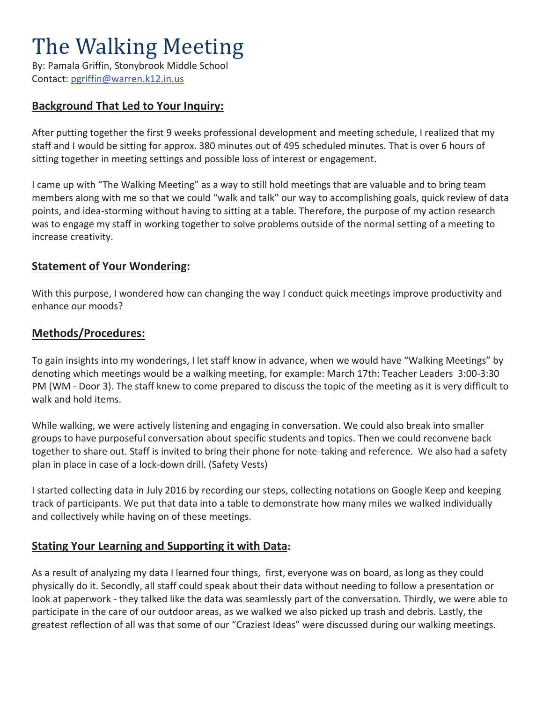# The Walking Meeting

By: Pamala Griffin, Stonybrook Middle School Contact: pgriffin@warren.k12.in.us

## **Background That Led to Your Inquiry:**

After putting together the first 9 weeks professional development and meeting schedule, I realized that my staff and I would be sitting for approx. 380 minutes out of 495 scheduled minutes. That is over 6 hours of sitting together in meeting settings and possible loss of interest or engagement.

I came up with "The Walking Meeting" as a way to still hold meetings that are valuable and to bring team members along with me so that we could "walk and talk" our way to accomplishing goals, quick review of data points, and idea-storming without having to sitting at a table. Therefore, the purpose of my action research was to engage my staff in working together to solve problems outside of the normal setting of a meeting to increase creativity.

#### **Statement of Your Wondering:**

With this purpose, I wondered how can changing the way I conduct quick meetings improve productivity and enhance our moods?

#### **Methods/Procedures:**

To gain insights into my wonderings, I let staff know in advance, when we would have "Walking Meetings" by denoting which meetings would be a walking meeting, for example: March 17th: Teacher Leaders 3:00-3:30 PM (WM - Door 3). The staff knew to come prepared to discuss the topic of the meeting as it is very difficult to walk and hold items.

While walking, we were actively listening and engaging in conversation. We could also break into smaller groups to have purposeful conversation about specific students and topics. Then we could reconvene back together to share out. Staff is invited to bring their phone for note-taking and reference. We also had a safety plan in place in case of a lock-down drill. (Safety Vests)

I started collecting data in July 2016 by recording our steps, collecting notations on Google Keep and keeping track of participants. We put that data into a table to demonstrate how many miles we walked individually and collectively while having on of these meetings.

## **Stating Your Learning and Supporting it with Data:**

As a result of analyzing my data I learned four things, first, everyone was on board, as long as they could physically do it. Secondly, all staff could speak about their data without needing to follow a presentation or look at paperwork - they talked like the data was seamlessly part of the conversation. Thirdly, we were able to participate in the care of our outdoor areas, as we walked we also picked up trash and debris. Lastly, the greatest reflection of all was that some of our "Craziest Ideas" were discussed during our walking meetings.